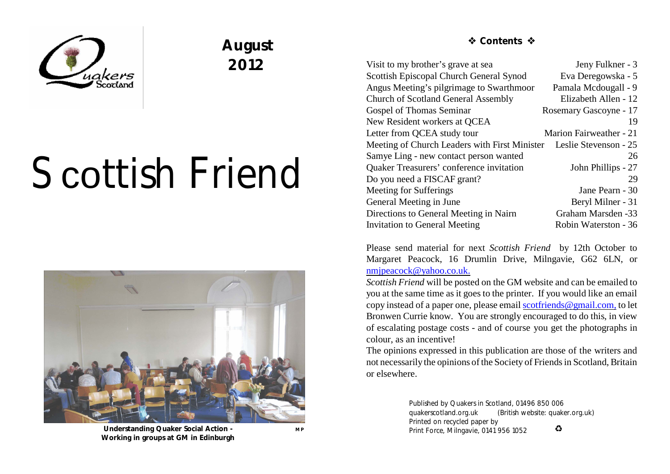

## **August 2012**

# Scottish Friend



 **Understanding Quaker Social Action -**  MP **Working in groups at GM in Edinburgh**

 **Contents** 

| Visit to my brother's grave at sea                                  | Jeny Fulkner - 3        |
|---------------------------------------------------------------------|-------------------------|
| <b>Scottish Episcopal Church General Synod</b>                      | Eva Deregowska - 5      |
| Angus Meeting's pilgrimage to Swarthmoor                            | Pamala Mcdougall - 9    |
| <b>Church of Scotland General Assembly</b>                          | Elizabeth Allen - 12    |
| <b>Gospel of Thomas Seminar</b>                                     | Rosemary Gascoyne - 17  |
| New Resident workers at QCEA                                        | 19                      |
| Letter from QCEA study tour                                         | Marion Fairweather - 21 |
| Meeting of Church Leaders with First Minister Leslie Stevenson - 25 |                         |
| Samye Ling - new contact person wanted                              | 26                      |
| Quaker Treasurers' conference invitation                            | John Phillips - 27      |
| Do you need a FISCAF grant?                                         | 29                      |
| Meeting for Sufferings                                              | Jane Pearn - 30         |
| General Meeting in June                                             | Beryl Milner - 31       |
| Directions to General Meeting in Nairn                              | Graham Marsden -33      |
| <b>Invitation to General Meeting</b>                                | Robin Waterston - 36    |
|                                                                     |                         |

Please send material for next *Scottish Friend* by 12th October to Margaret Peacock, 16 Drumlin Drive, Milngavie, G62 6LN, or [nmjpeacock@yahoo.co.uk.](mailto:nmjpeacock@yahoo.co.uk.)

*Scottish Friend* will be posted on the GM website and can be emailed to you at the same time as it goes to the printer. If you would like an email copy instead of a paper one, please email [scotfriends@gmail.com,](mailto:scotfriends@aol.com,) to let Bronwen Currie know. You are strongly encouraged to do this, in view of escalating postage costs - and of course you get the photographs in colour, as an incentive!

The opinions expressed in this publication are those of the writers and not necessarily the opinions of the Society of Friendsin Scotland, Britain or elsewhere.

> Published by Quakers in Scotland, 01496 850 006 quakerscotland.org.uk (British website: quaker.org.uk) Printed on recycled paper by  $\bullet$ Print Force, Milngavie, 0141 956 1052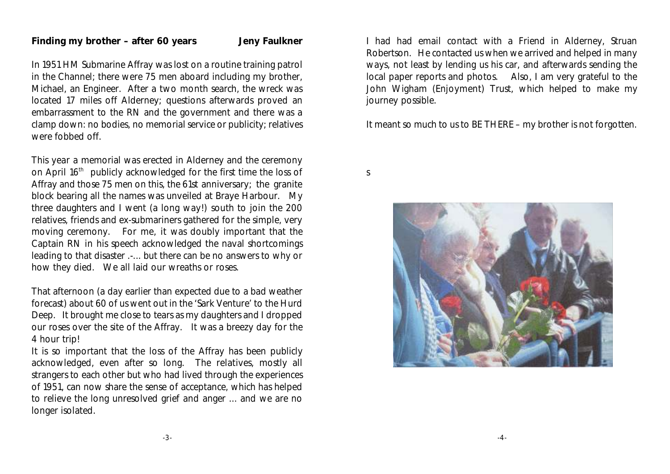#### **Finding my brother – after 60 years Jeny Faulkner**

In 1951 HM Submarine Affray was lost on a routine training patrol in the Channel; there were 75 men aboard including my brother, Michael, an Engineer. After a two month search, the wreck was located 17 miles off Alderney; questions afterwards proved an embarrassment to the RN and the government and there was a clamp down: no bodies, no memorial service or publicity; relatives were fobbed off.

This year a memorial was erected in Alderney and the ceremony on April 16<sup>th</sup> publicly acknowledged for the first time the loss of Affray and those 75 men on this, the 61st anniversary; the granite block bearing all the names was unveiled at Braye Harbour. My three daughters and I went (a long way!) south to join the 200 relatives, friends and ex-submariners gathered for the simple, very moving ceremony. For me, it was doubly important that the Captain RN in his speech acknowledged the naval shortcomings leading to that disaster .-... but there can be no answers to why or how they died. We all laid our wreaths or roses.

That afternoon (a day earlier than expected due to a bad weather forecast) about 60 of us went out in the 'Sark Venture' to the Hurd Deep. It brought me close to tears as my daughters and I dropped our roses over the site of the Affray. It was a breezy day for the 4 hour trip!

It is so important that the loss of the Affray has been publicly acknowledged, even after so long. The relatives, mostly all strangers to each other but who had lived through the experiences of 1951, can now share the sense of acceptance, which has helped to relieve the long unresolved grief and anger ... and we are no longer isolated.

I had had email contact with a Friend in Alderney, Struan Robertson. He contacted us when we arrived and helped in many ways, not least by lending us his car, and afterwards sending the local paper reports and photos. Also, I am very grateful to the John Wigham (Enjoyment) Trust, which helped to make my journey possible.

It meant so much to us to BE THERE – my brother is not forgotten.

s

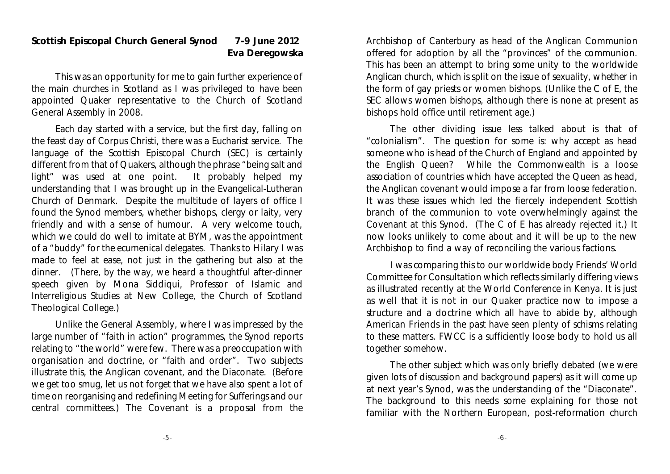#### **Scottish Episcopal Church General Synod 7-9 June 2012 Eva Deregowska**

This was an opportunity for me to gain further experience of the main churches in Scotland as I was privileged to have been appointed Quaker representative to the Church of Scotland General Assembly in 2008.

Each day started with a service, but the first day, falling on the feast day of Corpus Christi, there was a Eucharist service. The language of the Scottish Episcopal Church (SEC) is certainly different from that of Quakers, although the phrase "being salt and light" was used at one point. It probably helped my understanding that I was brought up in the Evangelical-Lutheran Church of Denmark. Despite the multitude of layers of office I found the Synod members, whether bishops, clergy or laity, very friendly and with a sense of humour. A very welcome touch, which we could do well to imitate at BYM, was the appointment of a "buddy" for the ecumenical delegates. Thanks to Hilary I was made to feel at ease, not just in the gathering but also at the dinner. (There, by the way, we heard a thoughtful after-dinner speech given by Mona Siddiqui, Professor of Islamic and Interreligious Studies at New College, the Church of Scotland Theological College.)

Unlike the General Assembly, where I was impressed by the large number of "faith in action" programmes, the Synod reports relating to "the world" were few. There was a preoccupation with organisation and doctrine, or "faith and order". Two subjects illustrate this, the Anglican covenant, and the Diaconate. (Before we get too smug, let us not forget that we have also spent a lot of time on reorganising and redefining Meeting for Sufferings and our central committees.) The Covenant is a proposal from the Archbishop of Canterbury as head of the Anglican Communion offered for adoption by all the "provinces" of the communion. This has been an attempt to bring some unity to the worldwide Anglican church, which is split on the issue of sexuality, whether in the form of gay priests or women bishops. (Unlike the C of E, the SEC allows women bishops, although there is none at present as bishops hold office until retirement age.)

The other dividing issue less talked about is that of "colonialism". The question for some is: why accept as head someone who is head of the Church of England and appointed by the English Queen? While the Commonwealth is a loose association of countries which have accepted the Queen as head, the Anglican covenant would impose a far from loose federation. It was these issues which led the fiercely independent Scottish branch of the communion to vote overwhelmingly against the Covenant at this Synod. (The C of E has already rejected it.) It now looks unlikely to come about and it will be up to the new Archbishop to find a way of reconciling the various factions.

I was comparing this to our worldwide body Friends' World Committee for Consultation which reflects similarly differing views as illustrated recently at the World Conference in Kenya. It is just as well that it is not in our Quaker practice now to impose a structure and a doctrine which all have to abide by, although American Friends in the past have seen plenty of schisms relating to these matters. FWCC is a sufficiently loose body to hold us all together somehow.

The other subject which was only briefly debated (we were given lots of discussion and background papers) as it will come up at next year's Synod, was the understanding of the "Diaconate". The background to this needs some explaining for those not familiar with the Northern European, post-reformation church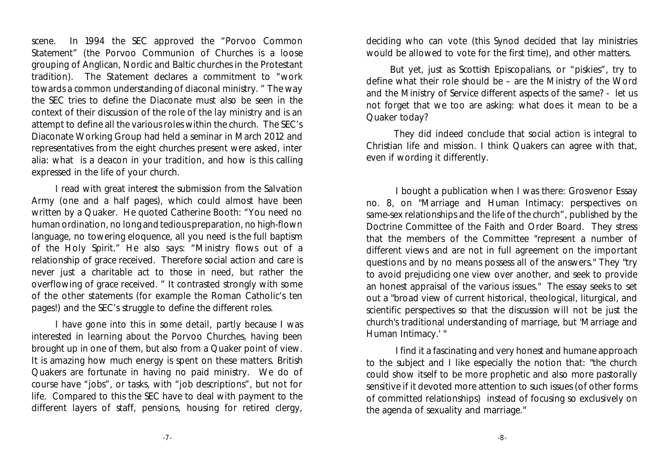scene. In 1994 the SEC approved the "Porvoo Common Statement" (the Porvoo Communion of Churches is a loose grouping of Anglican, Nordic and Baltic churches in the Protestant tradition). The Statement declares a commitment to "work towards a common understanding of diaconal ministry. " The way the SEC tries to define the Diaconate must also be seen in the context of their discussion of the role of the lay ministry and is an attempt to define all the various roles within the church. The SEC's Diaconate Working Group had held a seminar in March 2012 and representatives from the eight churches present were asked, inter alia: what is a deacon in your tradition, and how is this calling expressed in the life of your church.

I read with great interest the submission from the Salvation Army (one and a half pages), which could almost have been written by a Quaker. He quoted Catherine Booth: "You need no human ordination, no long and tedious preparation, no high-flown language, no towering eloquence, all you need is the full baptism of the Holy Spirit." He also says: "Ministry flows out of a relationship of grace received. Therefore social action and care is never just a charitable act to those in need, but rather the overflowing of grace received. " It contrasted strongly with some of the other statements (for example the Roman Catholic's ten pages!) and the SEC's struggle to define the different roles.

I have gone into this in some detail, partly because I was interested in learning about the Porvoo Churches, having been brought up in one of them, but also from a Quaker point of view. It is amazing how much energy is spent on these matters. British Quakers are fortunate in having no paid ministry. We do of course have "jobs", or tasks, with "job descriptions", but not for life. Compared to this the SEC have to deal with payment to the different layers of staff, pensions, housing for retired clergy,

deciding who can vote (this Synod decided that lay ministries would be allowed to vote for the first time), and other matters.

But yet, just as Scottish Episcopalians, or "piskies", try to define what their role should be – are the Ministry of the Word and the Ministry of Service different aspects of the same? - let us not forget that we too are asking: what does it mean to be a Quaker today?

 They did indeed conclude that social action is integral to Christian life and mission. I think Quakers can agree with that, even if wording it differently.

I bought a publication when I was there: Grosvenor Essay no. 8, on "Marriage and Human Intimacy: perspectives on same-sex relationships and the life of the church", published by the Doctrine Committee of the Faith and Order Board. They stress that the members of the Committee "represent a number of different views and are not in full agreement on the important questions and by no means possess all of the answers." They "try to avoid prejudicing one view over another, and seek to provide an honest appraisal of the various issues." The essay seeks to set out a "broad view of current historical, theological, liturgical, and scientific perspectives so that the discussion will not be just the church's traditional understanding of marriage, but 'Marriage and Human Intimacy.' "

I find it a fascinating and very honest and humane approach to the subject and I like especially the notion that: "the church could show itself to be more prophetic and also more pastorally sensitive if it devoted more attention to such issues (of other forms of committed relationships) instead of focusing so exclusively on the agenda of sexuality and marriage."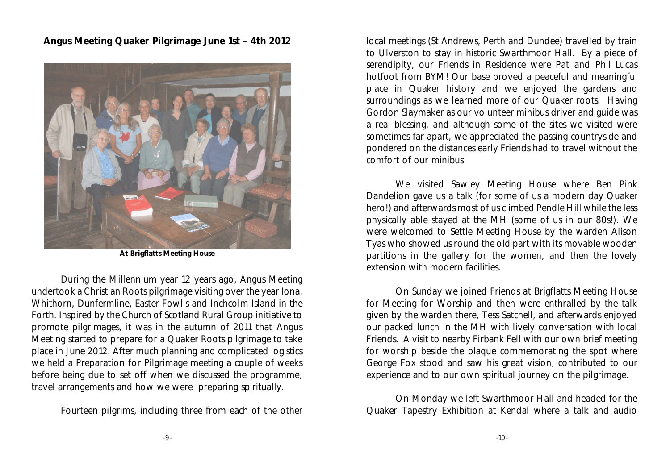**Angus Meeting Quaker Pilgrimage June 1st – 4th 2012**



**At Brigflatts Meeting House**

During the Millennium year 12 years ago, Angus Meeting undertook a Christian Roots pilgrimage visiting over the year Iona, Whithorn, Dunfermline, Easter Fowlis and Inchcolm Island in the Forth. Inspired by the Church of Scotland Rural Group initiative to promote pilgrimages, it was in the autumn of 2011 that Angus Meeting started to prepare for a Quaker Roots pilgrimage to take place in June 2012. After much planning and complicated logistics we held a Preparation for Pilgrimage meeting a couple of weeks before being due to set off when we discussed the programme, travel arrangements and how we were preparing spiritually.

Fourteen pilgrims, including three from each of the other

local meetings (St Andrews, Perth and Dundee) travelled by train to Ulverston to stay in historic Swarthmoor Hall. By a piece of serendipity, our Friends in Residence were Pat and Phil Lucas hotfoot from BYM! Our base proved a peaceful and meaningful place in Quaker history and we enjoyed the gardens and surroundings as we learned more of our Quaker roots. Having Gordon Slaymaker as our volunteer minibus driver and guide was a real blessing, and although some of the sites we visited were sometimes far apart, we appreciated the passing countryside and pondered on the distances early Friends had to travel without the comfort of our minibus!

We visited Sawley Meeting House where Ben Pink Dandelion gave us a talk (for some of us a modern day Quaker hero!) and afterwards most of us climbed Pendle Hill while the less physically able stayed at the MH (some of us in our 80s!). We were welcomed to Settle Meeting House by the warden Alison Tyas who showed us round the old part with its movable wooden partitions in the gallery for the women, and then the lovely extension with modern facilities.

On Sunday we joined Friends at Brigflatts Meeting House for Meeting for Worship and then were enthralled by the talk given by the warden there, Tess Satchell, and afterwards enjoyed our packed lunch in the MH with lively conversation with local Friends. A visit to nearby Firbank Fell with our own brief meeting for worship beside the plaque commemorating the spot where George Fox stood and saw his great vision, contributed to our experience and to our own spiritual journey on the pilgrimage.

On Monday we left Swarthmoor Hall and headed for the Quaker Tapestry Exhibition at Kendal where a talk and audio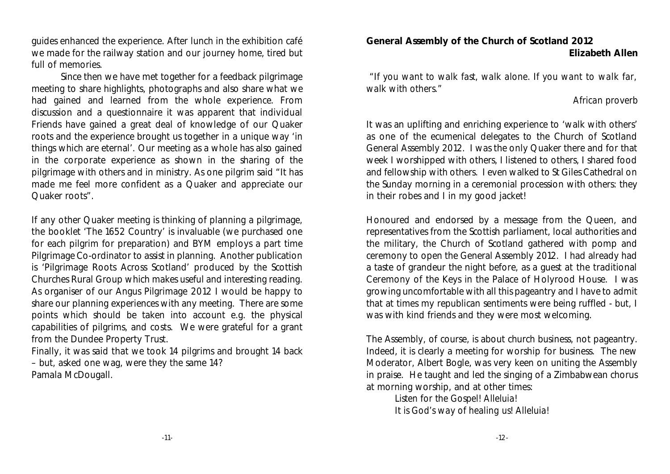guides enhanced the experience. After lunch in the exhibition café we made for the railway station and our journey home, tired but full of memories.

Since then we have met together for a feedback pilgrimage meeting to share highlights, photographs and also share what we had gained and learned from the whole experience. From discussion and a questionnaire it was apparent that individual Friends have gained a great deal of knowledge of our Quaker roots and the experience brought us together in a unique way 'in things which are eternal'. Our meeting as a whole has also gained in the corporate experience as shown in the sharing of the pilgrimage with others and in ministry. As one pilgrim said "It has made me feel more confident as a Quaker and appreciate our Quaker roots".

If any other Quaker meeting is thinking of planning a pilgrimage, the booklet 'The 1652 Country' is invaluable (we purchased one for each pilgrim for preparation) and BYM employs a part time Pilgrimage Co-ordinator to assist in planning. Another publication is 'Pilgrimage Roots Across Scotland' produced by the Scottish Churches Rural Group which makes useful and interesting reading. As organiser of our Angus Pilgrimage 2012 I would be happy to share our planning experiences with any meeting. There are some points which should be taken into account e.g. the physical capabilities of pilgrims, and costs. We were grateful for a grant from the Dundee Property Trust.

Finally, it was said that we took 14 pilgrims and brought 14 back – but, asked one wag, were they the same 14? Pamala McDougall.

**General Assembly of the Church of Scotland 2012 Elizabeth Allen**

*"If you want to walk fast, walk alone. If you want to walk far, walk with others."*

#### *African proverb*

It was an uplifting and enriching experience to 'walk with others' as one of the ecumenical delegates to the Church of Scotland General Assembly 2012. I was the only Quaker there and for that week I worshipped with others, I listened to others, I shared food and fellowship with others. I even walked to St Giles Cathedral on the Sunday morning in a ceremonial procession with others: they in their robes and I in my good jacket!

Honoured and endorsed by a message from the Queen, and representatives from the Scottish parliament, local authorities and the military, the Church of Scotland gathered with pomp and ceremony to open the General Assembly 2012. I had already had a taste of grandeur the night before, as a guest at the traditional Ceremony of the Keys in the Palace of Holyrood House. I was growing uncomfortable with all this pageantry and I have to admit that at times my republican sentiments were being ruffled - but, I was with kind friends and they were most welcoming.

The Assembly, of course, is about church business, not pageantry. Indeed, it is clearly a meeting for worship for business. The new Moderator, Albert Bogle, was very keen on uniting the Assembly in praise. He taught and led the singing of a Zimbabwean chorus at morning worship, and at other times:

> *Listen for the Gospel! Alleluia! It is God's way of healing us! Alleluia!*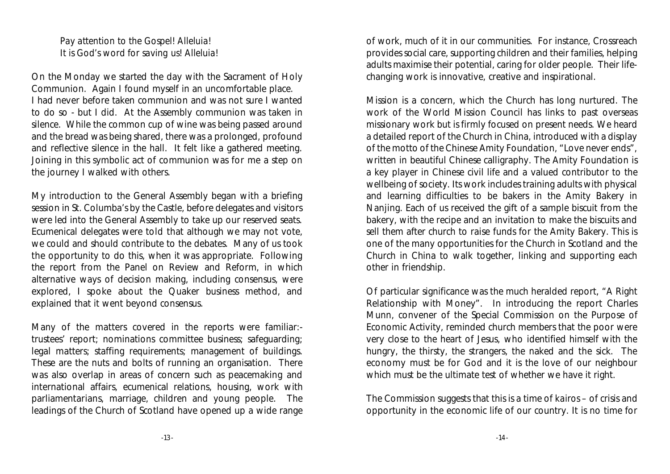*Pay attention to the Gospel! Alleluia! It is God's word for saving us! Alleluia!*

On the Monday we started the day with the Sacrament of Holy Communion. Again I found myself in an uncomfortable place. I had never before taken communion and was not sure I wanted to do so - but I did. At the Assembly communion was taken in silence. While the common cup of wine was being passed around and the bread was being shared, there was a prolonged, profound and reflective silence in the hall. It felt like a gathered meeting. Joining in this symbolic act of communion was for me a step on the journey I walked with others.

My introduction to the General Assembly began with a briefing session in St. Columba's by the Castle, before delegates and visitors were led into the General Assembly to take up our reserved seats. Ecumenical delegates were told that although we may not vote, we could and should contribute to the debates. Many of us took the opportunity to do this, when it was appropriate. Following the report from the Panel on Review and Reform, in which alternative ways of decision making, including consensus, were explored, I spoke about the Quaker business method, and explained that it went beyond consensus.

Many of the matters covered in the reports were familiar: trustees' report; nominations committee business; safeguarding; legal matters; staffing requirements; management of buildings. These are the nuts and bolts of running an organisation. There was also overlap in areas of concern such as peacemaking and international affairs, ecumenical relations, housing, work with parliamentarians, marriage, children and young people. The leadings of the Church of Scotland have opened up a wide range of work, much of it in our communities. For instance, Crossreach provides social care, supporting children and their families, helping adults maximise their potential, caring for older people. Their lifechanging work is innovative, creative and inspirational.

Mission is a concern, which the Church has long nurtured. The work of the World Mission Council has links to past overseas missionary work but is firmly focused on present needs. We heard a detailed report of the Church in China, introduced with a display of the motto of the Chinese Amity Foundation, "Love never ends", written in beautiful Chinese calligraphy. The Amity Foundation is a key player in Chinese civil life and a valued contributor to the wellbeing of society. Its work includes training adults with physical and learning difficulties to be bakers in the Amity Bakery in Nanjing. Each of us received the gift of a sample biscuit from the bakery, with the recipe and an invitation to make the biscuits and sell them after church to raise funds for the Amity Bakery. This is one of the many opportunities for the Church in Scotland and the Church in China to walk together, linking and supporting each other in friendship.

Of particular significance was the much heralded report, "A Right Relationship with Money". In introducing the report Charles Munn, convener of the Special Commission on the Purpose of Economic Activity, reminded church members that the poor were very close to the heart of Jesus, who identified himself with the hungry, the thirsty, the strangers, the naked and the sick. The economy must be for God and it is the love of our neighbour which must be the ultimate test of whether we have it right.

The Commission suggests that this is a time of *kairos* – of crisis and opportunity in the economic life of our country. It is no time for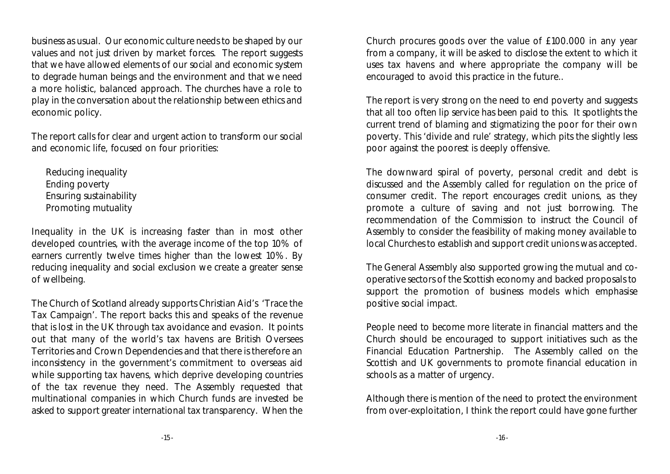business as usual. Our economic culture needs to be shaped by our values and not just driven by market forces. The report suggests that we have allowed elements of our social and economic system to degrade human beings and the environment and that we need a more holistic, balanced approach. The churches have a role to play in the conversation about the relationship between ethics and economic policy.

The report calls for clear and urgent action to transform our social and economic life, focused on four priorities:

Reducing inequality Ending poverty Ensuring sustainability Promoting mutuality

Inequality in the UK is increasing faster than in most other developed countries, with the average income of the top 10% of earners currently twelve times higher than the lowest 10%. By reducing inequality and social exclusion we create a greater sense of wellbeing.

The Church of Scotland already supports Christian Aid's 'Trace the Tax Campaign'. The report backs this and speaks of the revenue that is lost in the UK through tax avoidance and evasion. It points out that many of the world's tax havens are British Oversees Territories and Crown Dependencies and that there is therefore an inconsistency in the government's commitment to overseas aid while supporting tax havens, which deprive developing countries of the tax revenue they need. The Assembly requested that multinational companies in which Church funds are invested be asked to support greater international tax transparency. When the Church procures goods over the value of £100.000 in any year from a company, it will be asked to disclose the extent to which it uses tax havens and where appropriate the company will be encouraged to avoid this practice in the future..

The report is very strong on the need to end poverty and suggests that all too often lip service has been paid to this. It spotlights the current trend of blaming and stigmatizing the poor for their own poverty. This 'divide and rule' strategy, which pits the slightly less poor against the poorest is deeply offensive.

The downward spiral of poverty, personal credit and debt is discussed and the Assembly called for regulation on the price of consumer credit. The report encourages credit unions, as they promote a culture of saving and not just borrowing. The recommendation of the Commission to instruct the Council of Assembly to consider the feasibility of making money available to local Churches to establish and support credit unions was accepted.

The General Assembly also supported growing the mutual and cooperative sectors of the Scottish economy and backed proposals to support the promotion of business models which emphasise positive social impact.

People need to become more literate in financial matters and the Church should be encouraged to support initiatives such as the Financial Education Partnership. The Assembly called on the Scottish and UK governments to promote financial education in schools as a matter of urgency.

Although there is mention of the need to protect the environment from over-exploitation, I think the report could have gone further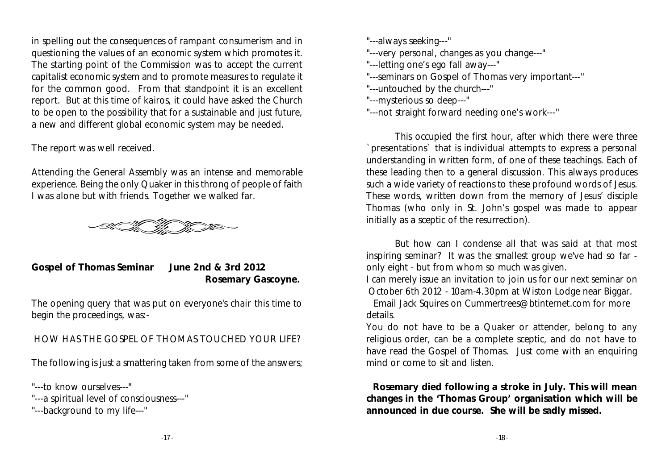in spelling out the consequences of rampant consumerism and in questioning the values of an economic system which promotes it. The starting point of the Commission was to accept the current capitalist economic system and to promote measures to regulate it for the common good. From that standpoint it is an excellent report. But at this time of *kairos,* it could have asked the Church to be open to the possibility that for a sustainable and just future, a new and different global economic system may be needed.

The report was well received.

Attending the General Assembly was an intense and memorable experience. Being the only Quaker in this throng of people of faith I was alone but with friends. Together we walked far.



**Gospel of Thomas Seminar June 2nd & 3rd 2012 Rosemary Gascoyne.** 

The opening query that was put on everyone's chair this time to begin the proceedings, was:-

HOW HAS THE GOSPEL OF THOMAS TOUCHED YOUR LIFE?

The following is just a smattering taken from some of the answers;

"---to know ourselves---"

"---a spiritual level of consciousness---"

"---background to my life---"

"---always seeking---"

"---very personal, changes as you change---"

"---letting one's ego fall away---"

"---seminars on Gospel of Thomas very important---"

"---untouched by the church---"

"---mysterious so deep---"

"---not straight forward needing one's work---"

This occupied the first hour, after which there were three `presentations` that is individual attempts to express a personal understanding in written form, of one of these teachings. Each of these leading then to a general discussion. This always produces such a wide variety of reactions to these profound words of Jesus. These words, written down from the memory of Jesus' disciple Thomas (who only in St. John's gospel was made to appear initially as a sceptic of the resurrection).

But how can I condense all that was said at that most inspiring seminar? It was the smallest group we've had so far only eight - but from whom so much was given.

I can merely issue an invitation to join us for our next seminar on October 6th 2012 - 10am-4.30pm at Wiston Lodge near Biggar.

Email Jack Squires on Cummertrees@btinternet.com for more details.

You do not have to be a Quaker or attender, belong to any religious order, can be a complete sceptic, and do not have to have read the Gospel of Thomas. Just come with an enquiring mind or come to sit and listen.

 **Rosemary died following a stroke in July. This will mean changes in the 'Thomas Group' organisation which will be announced in due course. She will be sadly missed.**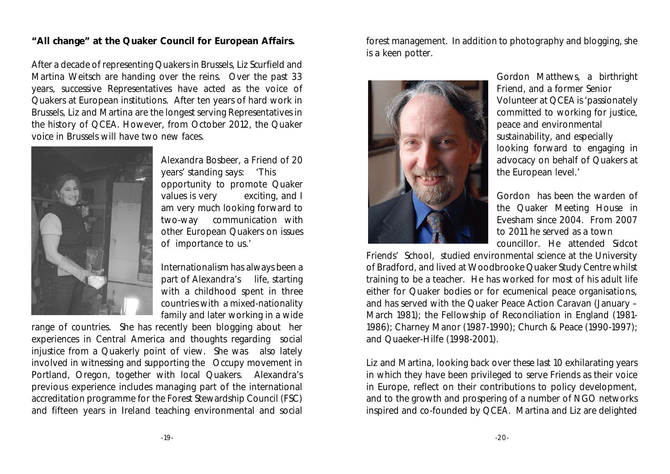#### **"All change" at the Quaker Council for European Affairs.**

After a decade of representing Quakers in Brussels, Liz Scurfield and Martina Weitsch are handing over the reins. Over the past 33 years, successive Representatives have acted as the voice of Quakers at European institutions. After ten years of hard work in Brussels, Liz and Martina are the longest serving Representatives in the history of QCEA. However, from October 2012, the Quaker voice in Brussels will have two new faces.



Alexandra Bosbeer, a Friend of 20 years' standing says: 'This opportunity to promote Quaker values is very exciting, and I am very much looking forward to two-way communication with other European Quakers on issues of importance to us.'

Internationalism has always been a part of Alexandra's life, starting with a childhood spent in three countries with a mixed-nationality family and later working in a wide

range of countries. She has recently been blogging about her experiences in Central America and thoughts regarding social injustice from a Quakerly point of view. She was also lately involved in witnessing and supporting the Occupy movement in Portland, Oregon, together with local Quakers. Alexandra's previous experience includes managing part of the international accreditation programme for the Forest Stewardship Council (FSC) and fifteen years in Ireland teaching environmental and social forest management. In addition to photography and blogging, she is a keen potter.



Gordon Matthews, a birthright Friend, and a former Senior Volunteer at QCEA is 'passionately committed to working for justice, peace and environmental sustainability, and especially looking forward to engaging in advocacy on behalf of Quakers at the European level.'

Gordon has been the warden of the Quaker Meeting House in Evesham since 2004. From 2007 to 2011 he served as a town councillor. He attended Sidcot

Friends' School, studied environmental science at the University of Bradford, and lived at Woodbrooke Quaker Study Centre whilst training to be a teacher. He has worked for most of his adult life either for Quaker bodies or for ecumenical peace organisations, and has served with the Quaker Peace Action Caravan (January – March 1981); the Fellowship of Reconciliation in England (1981- 1986); Charney Manor (1987-1990); Church & Peace (1990-1997); and Quaeker-Hilfe (1998-2001).

Liz and Martina, looking back over these last 10 exhilarating years in which they have been privileged to serve Friends as their voice in Europe, reflect on their contributions to policy development, and to the growth and prospering of a number of NGO networks inspired and co-founded by QCEA. Martina and Liz are delighted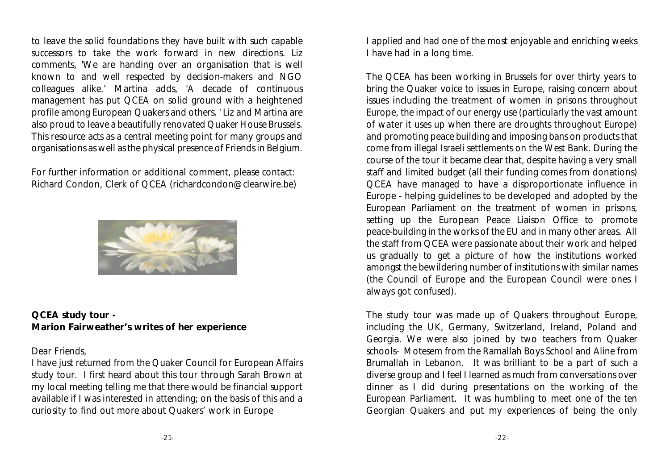to leave the solid foundations they have built with such capable successors to take the work forward in new directions. Liz comments, 'We are handing over an organisation that is well known to and well respected by decision-makers and NGO colleagues alike.' Martina adds, 'A decade of continuous management has put QCEA on solid ground with a heightened profile among European Quakers and others. ' Liz and Martina are also proud to leave a beautifully renovated Quaker House Brussels. This resource acts as a central meeting point for many groups and organisations as well as the physical presence of Friends in Belgium.

For further information or additional comment, please contact: Richard Condon, Clerk of QCEA (richardcondon@clearwire.be)



**QCEA study tour - Marion Fairweather's writes of her experience**

#### Dear Friends,

I have just returned from the Quaker Council for European Affairs study tour. I first heard about this tour through Sarah Brown at my local meeting telling me that there would be financial support available if I was interested in attending; on the basis of this and a curiosity to find out more about Quakers' work in Europe

I applied and had one of the most enjoyable and enriching weeks I have had in a long time.

The QCEA has been working in Brussels for over thirty years to bring the Quaker voice to issues in Europe, raising concern about issues including the treatment of women in prisons throughout Europe, the impact of our energy use (particularly the vast amount of water it uses up when there are droughts throughout Europe) and promoting peace building and imposing bans on products that come from illegal Israeli settlements on the West Bank. During the course of the tour it became clear that, despite having a very small staff and limited budget (all their funding comes from donations) QCEA have managed to have a disproportionate influence in Europe - helping guidelines to be developed and adopted by the European Parliament on the treatment of women in prisons, setting up the European Peace Liaison Office to promote peace-building in the works of the EU and in many other areas. All the staff from QCEA were passionate about their work and helped us gradually to get a picture of how the institutions worked amongst the bewildering number of institutions with similar names (the Council of Europe and the European Council were ones I always got confused).

The study tour was made up of Quakers throughout Europe, including the UK, Germany, Switzerland, Ireland, Poland and Georgia. We were also joined by two teachers from Quaker schools- Motesem from the Ramallah Boys School and Aline from Brumallah in Lebanon. It was brilliant to be a part of such a diverse group and I feel I learned as much from conversations over dinner as I did during presentations on the working of the European Parliament. It was humbling to meet one of the ten Georgian Quakers and put my experiences of being the only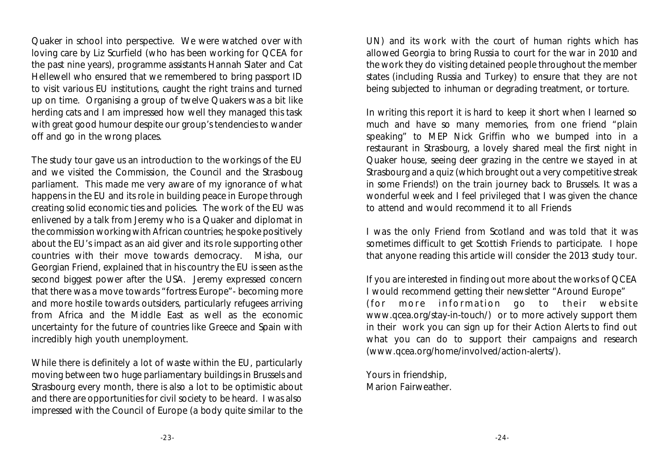Quaker in school into perspective. We were watched over with loving care by Liz Scurfield (who has been working for QCEA for the past nine years), programme assistants Hannah Slater and Cat Hellewell who ensured that we remembered to bring passport ID to visit various EU institutions, caught the right trains and turned up on time. Organising a group of twelve Quakers was a bit like herding cats and I am impressed how well they managed this task with great good humour despite our group's tendencies to wander off and go in the wrong places.

The study tour gave us an introduction to the workings of the EU and we visited the Commission, the Council and the Strasboug parliament. This made me very aware of my ignorance of what happens in the EU and its role in building peace in Europe through creating solid economic ties and policies. The work of the EU was enlivened by a talk from Jeremy who is a Quaker and diplomat in the commission working with African countries; he spoke positively about the EU's impact as an aid giver and its role supporting other countries with their move towards democracy. Misha, our Georgian Friend, explained that in his country the EU is seen as the second biggest power after the USA. Jeremy expressed concern that there was a move towards "fortress Europe"- becoming more and more hostile towards outsiders, particularly refugees arriving from Africa and the Middle East as well as the economic uncertainty for the future of countries like Greece and Spain with incredibly high youth unemployment.

While there is definitely a lot of waste within the EU, particularly moving between two huge parliamentary buildings in Brussels and Strasbourg every month, there is also a lot to be optimistic about and there are opportunities for civil society to be heard. I was also impressed with the Council of Europe (a body quite similar to the UN) and its work with the court of human rights which has allowed Georgia to bring Russia to court for the war in 2010 and the work they do visiting detained people throughout the member states (including Russia and Turkey) to ensure that they are not being subjected to inhuman or degrading treatment, or torture.

In writing this report it is hard to keep it short when I learned so much and have so many memories, from one friend "plain speaking" to MEP Nick Griffin who we bumped into in a restaurant in Strasbourg, a lovely shared meal the first night in Quaker house, seeing deer grazing in the centre we stayed in at Strasbourg and a quiz (which brought out a very competitive streak in some Friends!) on the train journey back to Brussels. It was a wonderful week and I feel privileged that I was given the chance to attend and would recommend it to all Friends

I was the only Friend from Scotland and was told that it was sometimes difficult to get Scottish Friends to participate. I hope that anyone reading this article will consider the 2013 study tour.

If you are interested in finding out more about the works of QCEA I would recommend getting their newsletter "Around Europe" (for more information go to their website www.qcea.org/stay-in-touch/) or to more actively support them in their work you can sign up for their Action Alerts to find out what you can do to support their campaigns and research (www.qcea.org/home/involved/action-alerts/).

Yours in friendship, Marion Fairweather.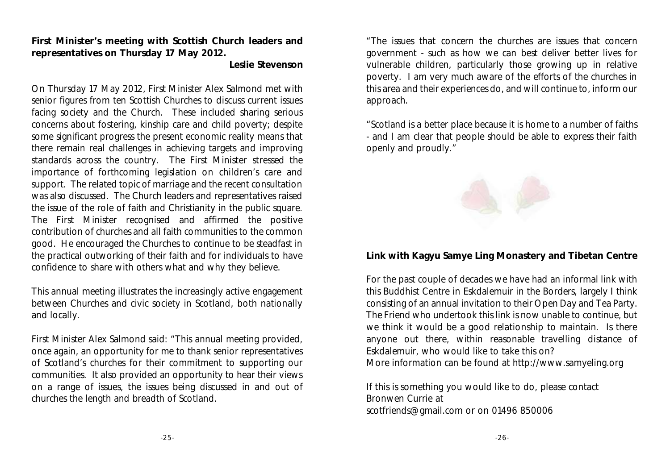**First Minister's meeting with Scottish Church leaders and representatives on Thursday 17 May 2012.**

**Leslie Stevenson**

On Thursday 17 May 2012, First Minister Alex Salmond met with senior figures from ten Scottish Churches to discuss current issues facing society and the Church. These included sharing serious concerns about fostering, kinship care and child poverty; despite some significant progress the present economic reality means that there remain real challenges in achieving targets and improving standards across the country. The First Minister stressed the importance of forthcoming legislation on children's care and support. The related topic of marriage and the recent consultation was also discussed. The Church leaders and representatives raised the issue of the role of faith and Christianity in the public square. The First Minister recognised and affirmed the positive contribution of churches and all faith communities to the common good. He encouraged the Churches to continue to be steadfast in the practical outworking of their faith and for individuals to have confidence to share with others what and why they believe.

This annual meeting illustrates the increasingly active engagement between Churches and civic society in Scotland, both nationally and locally.

First Minister Alex Salmond said: "This annual meeting provided, once again, an opportunity for me to thank senior representatives of Scotland's churches for their commitment to supporting our communities. It also provided an opportunity to hear their views on a range of issues, the issues being discussed in and out of churches the length and breadth of Scotland.

"The issues that concern the churches are issues that concern government - such as how we can best deliver better lives for vulnerable children, particularly those growing up in relative poverty. I am very much aware of the efforts of the churches in this area and their experiences do, and will continue to, inform our approach.

"Scotland is a better place because it is home to a number of faiths - and I am clear that people should be able to express their faith openly and proudly."



**Link with Kagyu Samye Ling Monastery and Tibetan Centre**

For the past couple of decades we have had an informal link with this Buddhist Centre in Eskdalemuir in the Borders, largely I think consisting of an annual invitation to their Open Day and Tea Party. The Friend who undertook this link is now unable to continue, but we think it would be a good relationship to maintain. Is there anyone out there, within reasonable travelling distance of Eskdalemuir, who would like to take this on? More information can be found at http://www.samyeling.org

If this is something you would like to do, please contact Bronwen Currie at scotfriends@gmail.com or on 01496 850006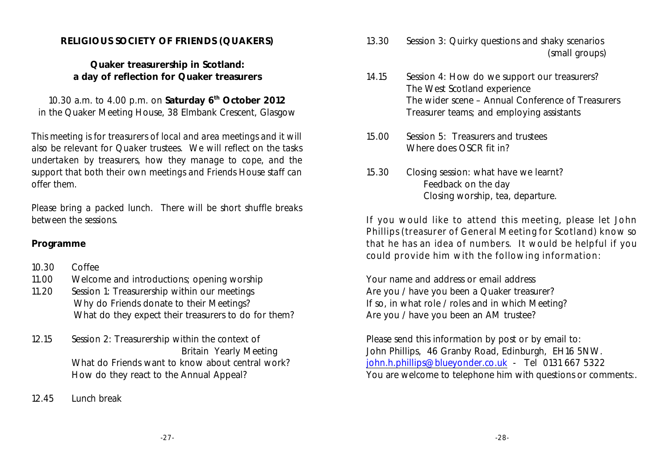#### **RELIGIOUS SOCIETY OF FRIENDS (QUAKERS)**

**Quaker treasurership in Scotland: a day of reflection for Quaker treasurers**

10.30 a.m. to 4.00 p.m. on Saturday 6<sup>th</sup> October 2012 in the Quaker Meeting House, 38 Elmbank Crescent, Glasgow

*This meeting is for treasurers of local and area meetings and it will also be relevant for Quaker trustees. We will reflect on the tasks undertaken by treasurers, how they manage to cope, and the support that both their own meetings and Friends House staff can offer them.*

*Please bring a packed lunch. There will be short shuffle breaks between the sessions.*

#### **Programme**

- 10.30 Coffee
- 11.00 Welcome and introductions; opening worship
- 11.20 Session 1: Treasurership within our meetings Why do Friends donate to their Meetings? What do they expect their treasurers to do for them?
- 12.15 Session 2: Treasurership within the context of Britain Yearly Meeting What do Friends want to know about central work? How do they react to the Annual Appeal?
- 12.45 Lunch break
- 13.30 Session 3: Quirky questions and shaky scenarios (small groups)
- 14.15 Session 4: How do we support our treasurers? The West Scotland experience The wider scene – Annual Conference of Treasurers Treasurer teams; and employing assistants
- 15.00 Session 5: Treasurers and trustees Where does OSCR fit in?
- 15.30 Closing session: what have we learnt? Feedback on the day Closing worship, tea, departure.

*If you would like to attend this meeting, please let John Phillips (treasurer of General Meeting for Scotland) know so that he has an idea of numbers. It would be helpful if you could provide him with the following information:*

Your name and address or email address Are you / have you been a Quaker treasurer? If so, in what role / roles and in which Meeting? Are you / have you been an AM trustee?

Please send this information by post or by email to: John Phillips, 46 Granby Road, Edinburgh, EH16 5NW. [john.h.phillips@blueyonder.co.uk](mailto:john.h.phillips@blueyonder.co.uk) - Tel 0131 667 5322 You are welcome to telephone him with questions or comments:.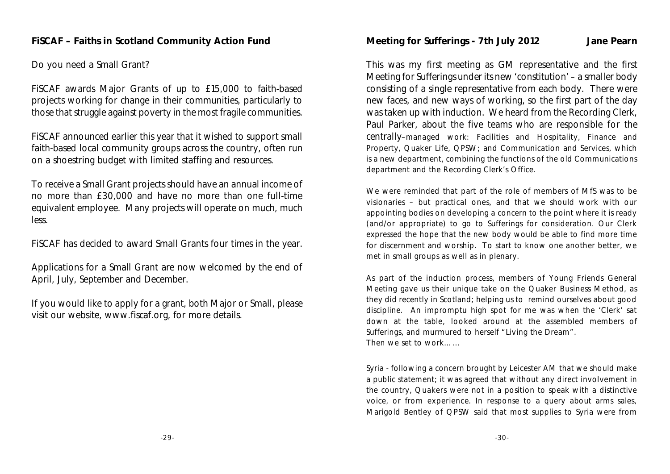Do you need a Small Grant?

FiSCAF awards Major Grants of up to £15,000 to faith-based projects working for change in their communities, particularly to those that struggle against poverty in the most fragile communities.

FiSCAF announced earlier this year that it wished to support small faith-based local community groups across the country, often run on a shoestring budget with limited staffing and resources.

To receive a Small Grant projects should have an annual income of no more than £30,000 and have no more than one full-time equivalent employee. Many projects will operate on much, much less.

FiSCAF has decided to award Small Grants four times in the year.

Applications for a Small Grant are now welcomed by the end of April, July, September and December.

If you would like to apply for a grant, both Major or Small, please visit our website, www.fiscaf.org, for more details.

**Meeting for Sufferings - 7th July 2012 Jane Pearn**

This was my first meeting as GM representative and the first Meeting for Sufferings under its new 'constitution' – a smaller body consisting of a single representative from each body. There were new faces, and new ways of working, so the first part of the day was taken up with induction. We heard from the Recording Clerk, Paul Parker, about the five teams who are responsible for the centrally–managed work: Facilities and Hospitality, Finance and Property, Quaker Life, QPSW; and Communication and Services, which is a new department, combining the functions of the old Communications department and the Recording Clerk's Office.

We were reminded that part of the role of members of MfS was to be visionaries – but practical ones, and that we should work with our appointing bodies on developing a concern to the point where it is ready (and/or appropriate) to go to Sufferings for consideration. Our Clerk expressed the hope that the new body would be able to find more time for discernment and worship. To start to know one another better, we met in small groups as well as in plenary.

As part of the induction process, members of Young Friends General Meeting gave us their unique take on the Quaker Business Method, as they did recently in Scotland; helping us to remind ourselves about good discipline. An impromptu high spot for me was when the 'Clerk' sat down at the table, looked around at the assembled members of Sufferings, and murmured to herself "Living the Dream". Then we set to work……

Syria - following a concern brought by Leicester AM that we should make a public statement; it was agreed that without any direct involvement in the country, Quakers were not in a position to speak with a distinctive voice, or from experience. In response to a query about arms sales, Marigold Bentley of QPSW said that most supplies to Syria were from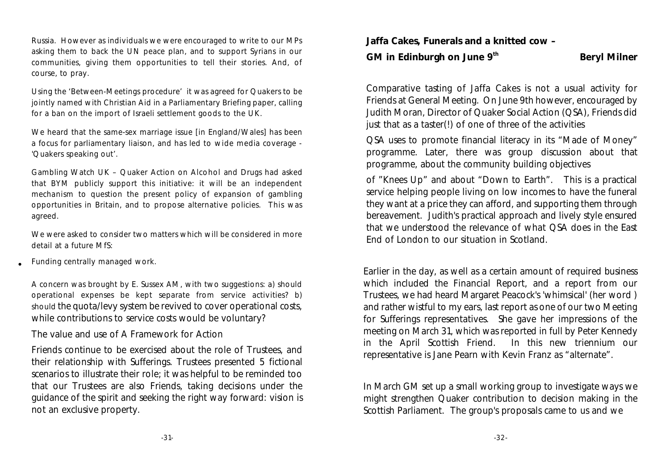Russia. However as individuals we were encouraged to write to our MPs asking them to back the UN peace plan, and to support Syrians in our communities, giving them opportunities to tell their stories. And, of course, to pray.

Using the 'Between-Meetings procedure' it was agreed for Quakers to be jointly named with Christian Aid in a Parliamentary Briefing paper, calling for a ban on the import of Israeli settlement goods to the UK.

We heard that the same-sex marriage issue [in England/Wales] has been a focus for parliamentary liaison, and has led to wide media coverage - 'Quakers speaking out'.

Gambling Watch UK – Quaker Action on Alcohol and Drugs had asked that BYM publicly support this initiative: it will be an independent mechanism to question the present policy of expansion of gambling opportunities in Britain, and to propose alternative policies. This was agreed.

We were asked to consider two matters which will be considered in more detail at a future MfS:

Funding centrally managed work.

•

A concern was brought by E. Sussex AM, with two suggestions: a) should operational expenses be kept separate from service activities? b) should the quota/levy system be revived to cover operational costs, while contributions to service costs would be voluntary?

The value and use of A Framework for Action

Friends continue to be exercised about the role of Trustees, and their relationship with Sufferings. Trustees presented 5 fictional scenarios to illustrate their role; it was helpful to be reminded too that our Trustees are also Friends, taking decisions under the guidance of the spirit and seeking the right way forward: vision is not an exclusive property.

**Jaffa Cakes, Funerals and a knitted cow –** 

GM in Edinburgh on June 9<sup>th</sup> Beryl Milner

Comparative tasting of Jaffa Cakes is not a usual activity for Friends at General Meeting. On June 9th however, encouraged by Judith Moran, Director of Quaker Social Action (QSA), Friends did just that as a taster(!) of one of three of the activities

QSA uses to promote financial literacy in its "Made of Money" programme. Later, there was group discussion about that programme, about the community building objectives

of "Knees Up" and about "Down to Earth". This is a practical service helping people living on low incomes to have the funeral they want at a price they can afford, and supporting them through bereavement. Judith's practical approach and lively style ensured that we understood the relevance of what QSA does in the East End of London to our situation in Scotland.

Earlier in the day, as well as a certain amount of required business which included the Financial Report, and a report from our Trustees, we had heard Margaret Peacock's 'whimsical' (her word ) and rather wistful to my ears, last report as one of our two Meeting for Sufferings representatives. She gave her impressions of the meeting on March 31, which was reported in full by Peter Kennedy in the April Scottish Friend. In this new triennium our representative is Jane Pearn with Kevin Franz as "alternate".

In March GM set up a small working group to investigate ways we might strengthen Quaker contribution to decision making in the Scottish Parliament. The group's proposals came to us and we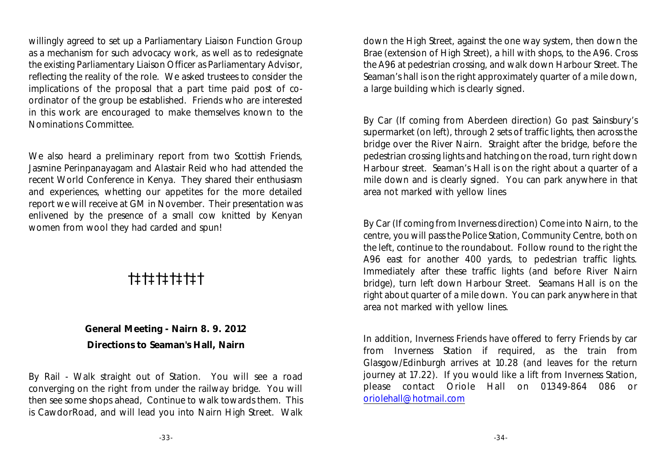willingly agreed to set up a Parliamentary Liaison Function Group as a mechanism for such advocacy work, as well as to redesignate the existing Parliamentary Liaison Officer as Parliamentary Advisor, reflecting the reality of the role. We asked trustees to consider the implications of the proposal that a part time paid post of coordinator of the group be established. Friends who are interested in this work are encouraged to make themselves known to the Nominations Committee.

We also heard a preliminary report from two Scottish Friends, Jasmine Perinpanayagam and Alastair Reid who had attended the recent World Conference in Kenya. They shared their enthusiasm and experiences, whetting our appetites for the more detailed report we will receive at GM in November. Their presentation was enlivened by the presence of a small cow knitted by Kenyan women from wool they had carded and spun!

### †‡†‡†‡†‡†‡†

#### **General Meeting - Nairn 8. 9. 2012 Directions to Seaman's Hall, Nairn**

By Rail - Walk straight out of Station. You will see a road converging on the right from under the railway bridge. You will then see some shops ahead, Continue to walk towards them. This is CawdorRoad, and will lead you into Nairn High Street. Walk

down the High Street, against the one way system, then down the Brae (extension of High Street), a hill with shops, to the A96. Cross the A96 at pedestrian crossing, and walk down Harbour Street. The Seaman's hall is on the right approximately quarter of a mile down, a large building which is clearly signed.

By Car (If coming from Aberdeen direction) Go past Sainsbury's supermarket (on left), through 2 sets of traffic lights, then across the bridge over the River Nairn. Straight after the bridge, before the pedestrian crossing lights and hatching on the road, turn right down Harbour street. Seaman's Hall is on the right about a quarter of a mile down and is clearly signed. You can park anywhere in that area not marked with yellow lines

By Car (If coming from Inverness direction) Come into Nairn, to the centre, you will pass the Police Station, Community Centre, both on the left, continue to the roundabout. Follow round to the right the A96 east for another 400 yards, to pedestrian traffic lights. Immediately after these traffic lights (and before River Nairn bridge), turn left down Harbour Street. Seamans Hall is on the right about quarter of a mile down. You can park anywhere in that area not marked with yellow lines.

In addition, Inverness Friends have offered to ferry Friends by car from Inverness Station if required, as the train from Glasgow/Edinburgh arrives at 10.28 (and leaves for the return journey at 17.22). If you would like a lift from Inverness Station, please contact Oriole Hall on 01349-864 086 or [oriolehall@hotmail.com](mailto:oriolehall@hotmail.com)